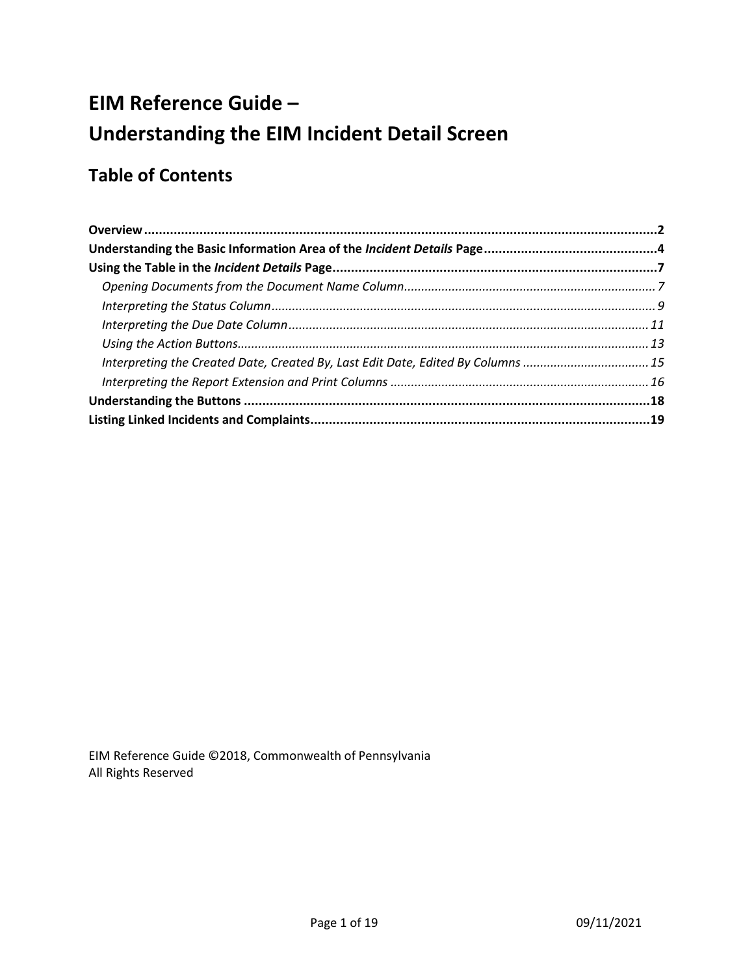# **EIM Reference Guide – Understanding the EIM Incident Detail Screen**

# **Table of Contents**

| Interpreting the Created Date, Created By, Last Edit Date, Edited By Columns 15 |  |
|---------------------------------------------------------------------------------|--|
|                                                                                 |  |
|                                                                                 |  |
|                                                                                 |  |

EIM Reference Guide ©2018, Commonwealth of Pennsylvania All Rights Reserved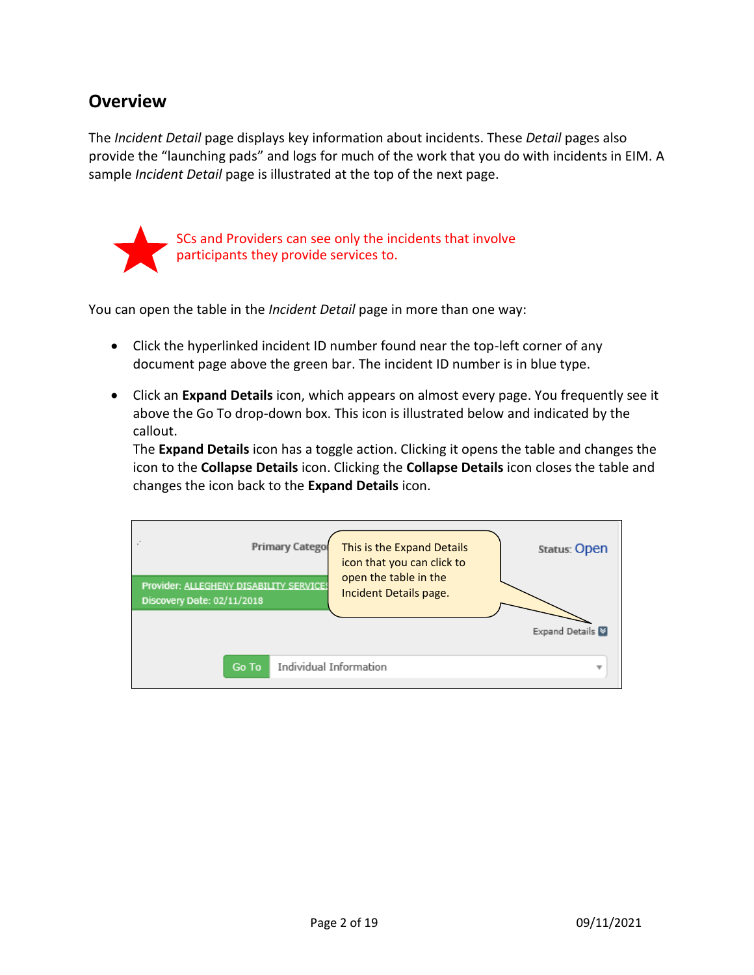### <span id="page-1-0"></span>**Overview**

The *Incident Detail* page displays key information about incidents. These *Detail* pages also provide the "launching pads" and logs for much of the work that you do with incidents in EIM. A sample *Incident Detail* page is illustrated at the top of the next page.



SCs and Providers can see only the incidents that involve participants they provide services to.

You can open the table in the *Incident Detail* page in more than one way:

- Click the hyperlinked incident ID number found near the top-left corner of any document page above the green bar. The incident ID number is in blue type.
- Click an **Expand Details** icon, which appears on almost every page. You frequently see it above the Go To drop-down box. This icon is illustrated below and indicated by the callout.

The **Expand Details** icon has a toggle action. Clicking it opens the table and changes the icon to the **Collapse Details** icon. Clicking the **Collapse Details** icon closes the table and changes the icon back to the **Expand Details** icon.

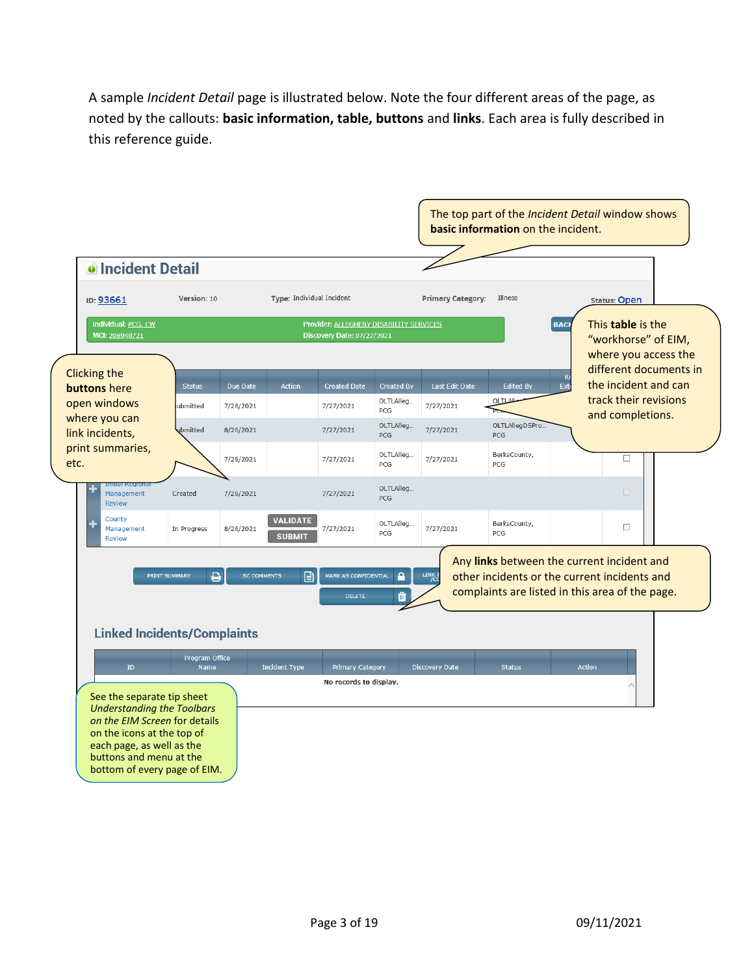A sample *Incident Detail* page is illustrated below. Note the four different areas of the page, as noted by the callouts: **basic information, table, buttons** and **links**. Each area is fully described in this reference guide.

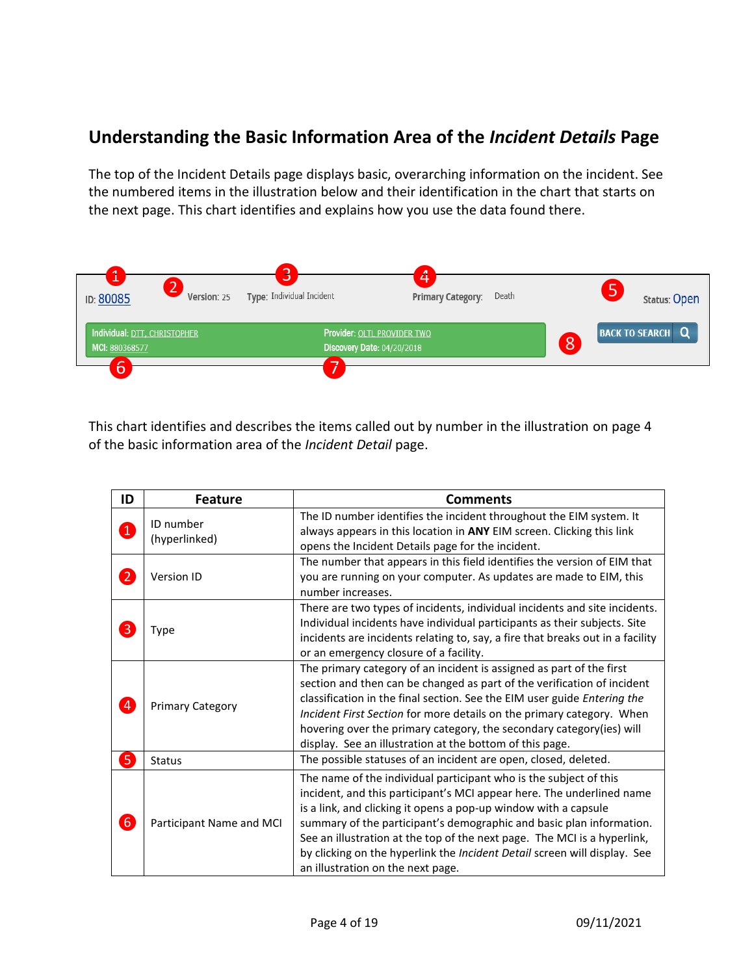# <span id="page-3-0"></span>**Understanding the Basic Information Area of the** *Incident Details* **Page**

The top of the Incident Details page displays basic, overarching information on the incident. See the numbered items in the illustration below and their identification in the chart that starts on the next page. This chart identifies and explains how you use the data found there.



This chart identifies and describes the items called out by number in the illustration on page 4 of the basic information area of the *Incident Detail* page.

| ID                | <b>Feature</b>             | <b>Comments</b>                                                                                                                                                                                                                                                                                                                                                                                                                                                                     |
|-------------------|----------------------------|-------------------------------------------------------------------------------------------------------------------------------------------------------------------------------------------------------------------------------------------------------------------------------------------------------------------------------------------------------------------------------------------------------------------------------------------------------------------------------------|
| $\boxed{1}$       | ID number<br>(hyperlinked) | The ID number identifies the incident throughout the EIM system. It<br>always appears in this location in ANY EIM screen. Clicking this link<br>opens the Incident Details page for the incident.                                                                                                                                                                                                                                                                                   |
| $\boldsymbol{2}$  | Version ID                 | The number that appears in this field identifies the version of EIM that<br>you are running on your computer. As updates are made to EIM, this<br>number increases.                                                                                                                                                                                                                                                                                                                 |
| $\vert 3 \vert$   | Type                       | There are two types of incidents, individual incidents and site incidents.<br>Individual incidents have individual participants as their subjects. Site<br>incidents are incidents relating to, say, a fire that breaks out in a facility<br>or an emergency closure of a facility.                                                                                                                                                                                                 |
| $\left( 4\right)$ | <b>Primary Category</b>    | The primary category of an incident is assigned as part of the first<br>section and then can be changed as part of the verification of incident<br>classification in the final section. See the EIM user guide Entering the<br>Incident First Section for more details on the primary category. When<br>hovering over the primary category, the secondary category(ies) will<br>display. See an illustration at the bottom of this page.                                            |
| 6                 | Status                     | The possible statuses of an incident are open, closed, deleted.                                                                                                                                                                                                                                                                                                                                                                                                                     |
| $\boldsymbol{6}$  | Participant Name and MCI   | The name of the individual participant who is the subject of this<br>incident, and this participant's MCI appear here. The underlined name<br>is a link, and clicking it opens a pop-up window with a capsule<br>summary of the participant's demographic and basic plan information.<br>See an illustration at the top of the next page. The MCI is a hyperlink,<br>by clicking on the hyperlink the Incident Detail screen will display. See<br>an illustration on the next page. |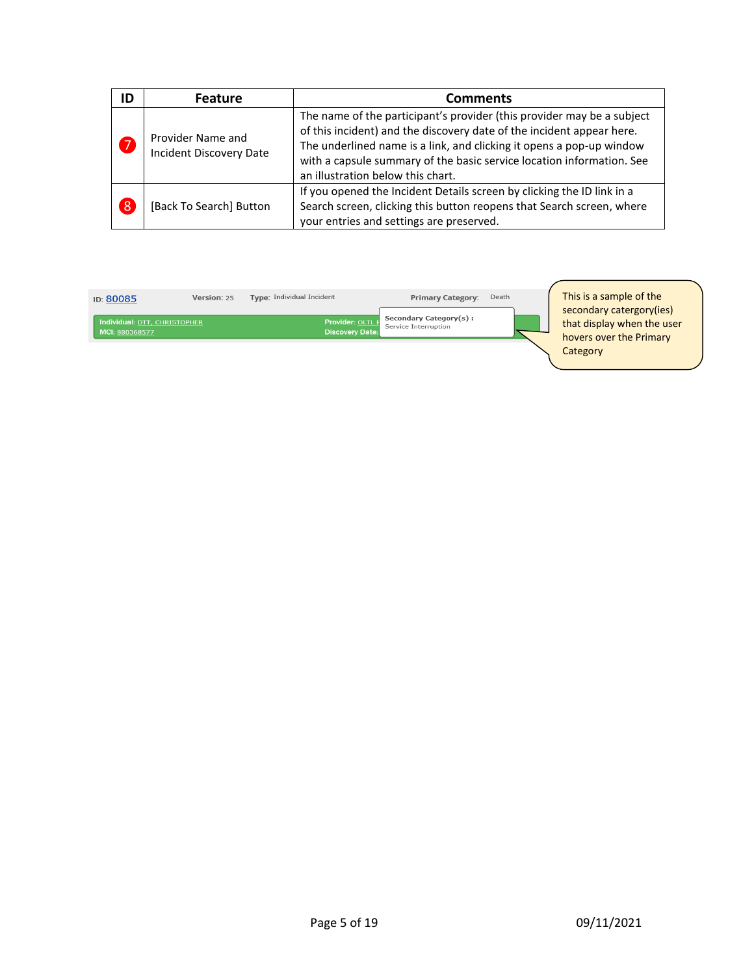| ID             | <b>Feature</b>                               | <b>Comments</b>                                                                                                                                                                                                                                                                                                                       |
|----------------|----------------------------------------------|---------------------------------------------------------------------------------------------------------------------------------------------------------------------------------------------------------------------------------------------------------------------------------------------------------------------------------------|
| 7              | Provider Name and<br>Incident Discovery Date | The name of the participant's provider (this provider may be a subject<br>of this incident) and the discovery date of the incident appear here.<br>The underlined name is a link, and clicking it opens a pop-up window<br>with a capsule summary of the basic service location information. See<br>an illustration below this chart. |
| $\overline{8}$ | [Back To Search] Button                      | If you opened the Incident Details screen by clicking the ID link in a<br>Search screen, clicking this button reopens that Search screen, where<br>your entries and settings are preserved.                                                                                                                                           |

| Version: 25<br>ID: 80085                       |  | Type: Individual Incident                  | <b>Primary Category:</b>                              | Death |  |
|------------------------------------------------|--|--------------------------------------------|-------------------------------------------------------|-------|--|
| Individual: DTT, CHRISTOPHER<br>MCI: 880368577 |  | Provider: OLTL F<br><b>Discovery Date:</b> | <b>Secondary Category(s):</b><br>Service Interruption |       |  |
|                                                |  |                                            |                                                       |       |  |

This is a sample of the secondary catergory(ies) that display when the user hovers over the Primary **Category**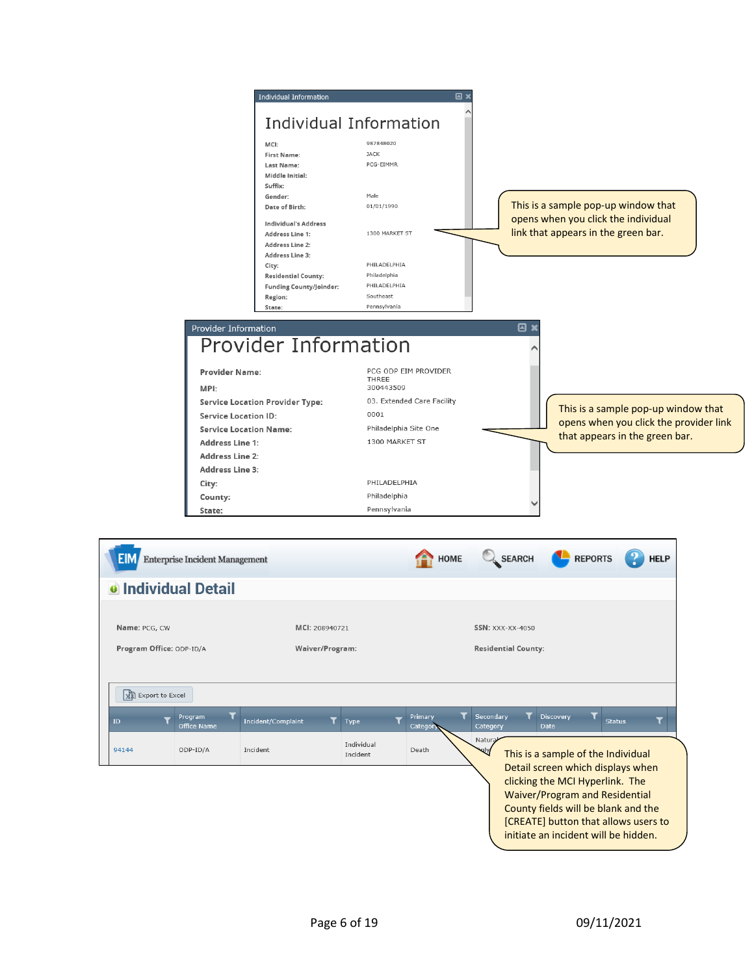

initiate an incident will be hidden.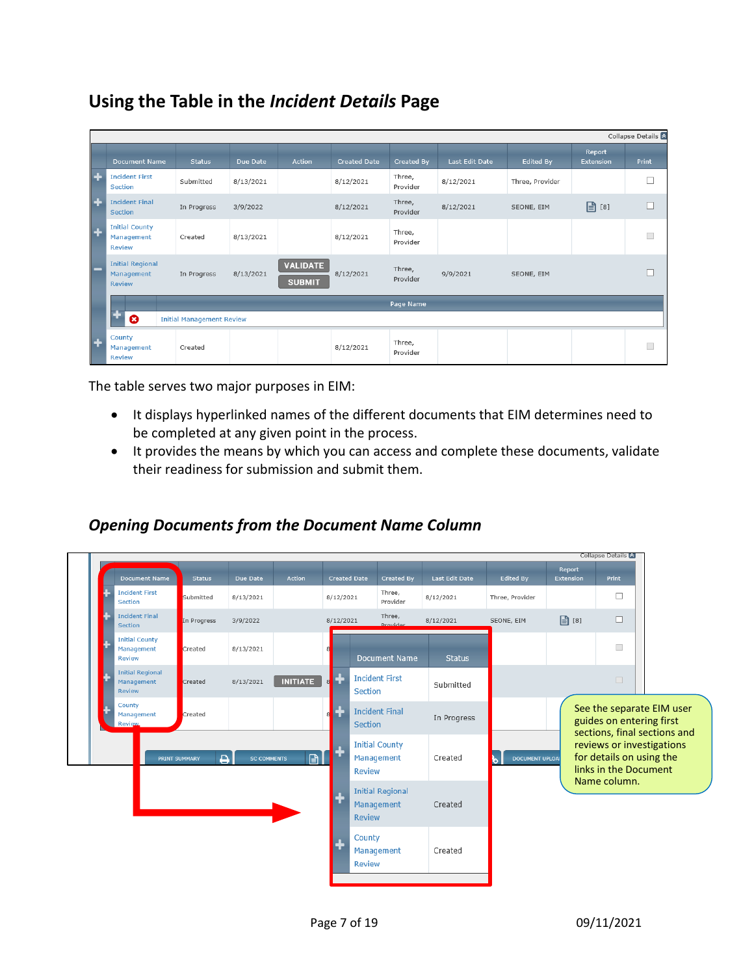# <span id="page-6-0"></span>**Using the Table in the** *Incident Details* **Page**

|                |                                                             |                                  |           |                                  |              |                    |                |                 |                     | Collapse Details &       |
|----------------|-------------------------------------------------------------|----------------------------------|-----------|----------------------------------|--------------|--------------------|----------------|-----------------|---------------------|--------------------------|
|                | <b>Document Name</b>                                        | <b>Status</b>                    | Due Date  | Action                           | Created Date | Created By         | Last Edit Date | Edited By       | Report<br>Extension | <b>Print</b>             |
| $\overline{ }$ | <b>Incident First</b><br>Section                            | Submitted                        | 8/13/2021 |                                  | 8/12/2021    | Three,<br>Provider | 8/12/2021      | Three, Provider |                     |                          |
| $\overline{1}$ | <b>Incident Final</b><br><b>Section</b>                     | In Progress                      | 3/9/2022  |                                  | 8/12/2021    | Three,<br>Provider | 8/12/2021      | SEONE, EIM      | $\boxed{2}$ [8]     |                          |
| $\overline{+}$ | <b>Initial County</b><br><b>Management</b><br><b>Review</b> | Created                          | 8/13/2021 |                                  | 8/12/2021    | Three,<br>Provider |                |                 |                     | $\overline{\phantom{a}}$ |
|                | <b>Initial Regional</b><br>Management<br><b>Review</b>      | In Progress                      | 8/13/2021 | <b>VALIDATE</b><br><b>SUBMIT</b> | 8/12/2021    | Three,<br>Provider | 9/9/2021       | SEONE, EIM      |                     |                          |
|                |                                                             |                                  |           |                                  |              | Page Name          |                |                 |                     |                          |
|                | ೞ                                                           | <b>Initial Management Review</b> |           |                                  |              |                    |                |                 |                     |                          |
| $\overline{ }$ | County<br>Management<br><b>Review</b>                       | Created                          |           |                                  | 8/12/2021    | Three,<br>Provider |                |                 |                     | □                        |

The table serves two major purposes in EIM:

- It displays hyperlinked names of the different documents that EIM determines need to be completed at any given point in the process.
- It provides the means by which you can access and complete these documents, validate their readiness for submission and submit them.

#### <span id="page-6-1"></span>*Opening Documents from the Document Name Column*

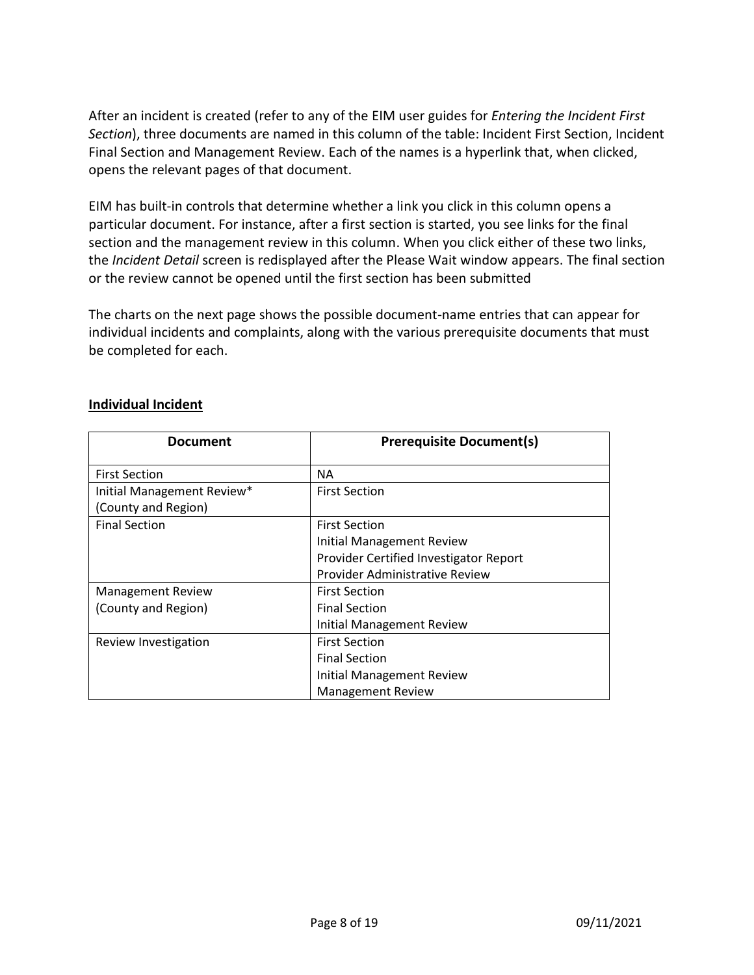After an incident is created (refer to any of the EIM user guides for *Entering the Incident First Section*), three documents are named in this column of the table: Incident First Section, Incident Final Section and Management Review. Each of the names is a hyperlink that, when clicked, opens the relevant pages of that document.

EIM has built-in controls that determine whether a link you click in this column opens a particular document. For instance, after a first section is started, you see links for the final section and the management review in this column. When you click either of these two links, the *Incident Detail* screen is redisplayed after the Please Wait window appears. The final section or the review cannot be opened until the first section has been submitted

The charts on the next page shows the possible document-name entries that can appear for individual incidents and complaints, along with the various prerequisite documents that must be completed for each.

| <b>Document</b>            | <b>Prerequisite Document(s)</b>        |
|----------------------------|----------------------------------------|
| <b>First Section</b>       | <b>NA</b>                              |
| Initial Management Review* | <b>First Section</b>                   |
| (County and Region)        |                                        |
| <b>Final Section</b>       | <b>First Section</b>                   |
|                            | <b>Initial Management Review</b>       |
|                            | Provider Certified Investigator Report |
|                            | Provider Administrative Review         |
| <b>Management Review</b>   | <b>First Section</b>                   |
| (County and Region)        | <b>Final Section</b>                   |
|                            | <b>Initial Management Review</b>       |
| Review Investigation       | <b>First Section</b>                   |
|                            | <b>Final Section</b>                   |
|                            | <b>Initial Management Review</b>       |
|                            | <b>Management Review</b>               |

#### **Individual Incident**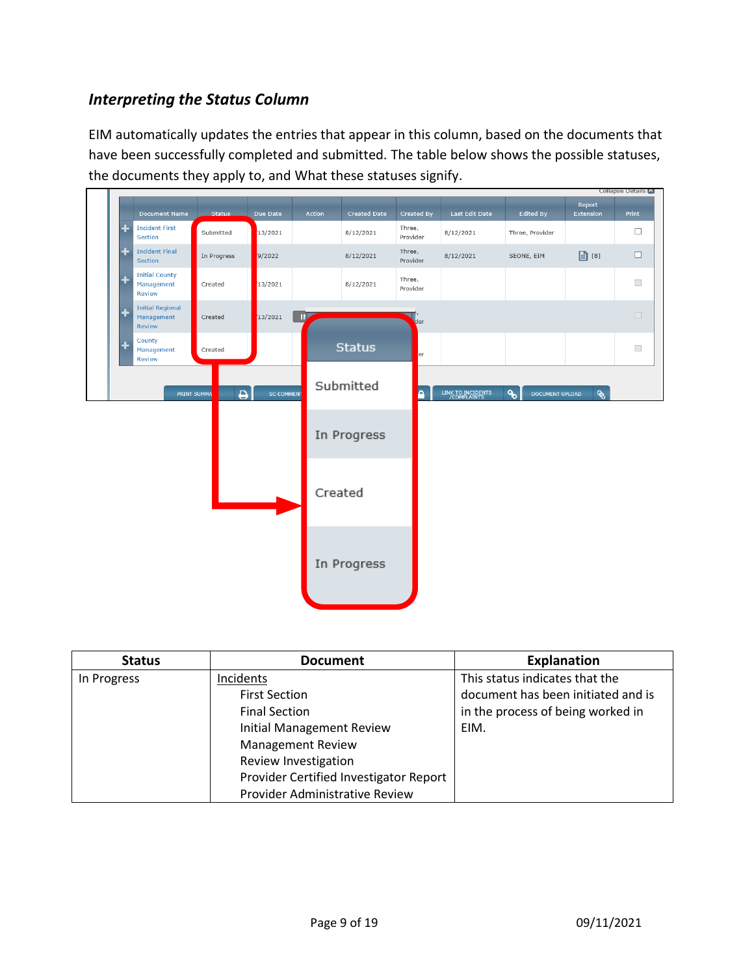#### <span id="page-8-0"></span>*Interpreting the Status Column*

EIM automatically updates the entries that appear in this column, based on the documents that have been successfully completed and submitted. The table below shows the possible statuses, the documents they apply to, and What these statuses signify.



| <b>Status</b> | <b>Document</b>                        | <b>Explanation</b>                 |
|---------------|----------------------------------------|------------------------------------|
| In Progress   | Incidents                              | This status indicates that the     |
|               | <b>First Section</b>                   | document has been initiated and is |
|               | <b>Final Section</b>                   | in the process of being worked in  |
|               | <b>Initial Management Review</b>       | EIM.                               |
|               | <b>Management Review</b>               |                                    |
|               | Review Investigation                   |                                    |
|               | Provider Certified Investigator Report |                                    |
|               | Provider Administrative Review         |                                    |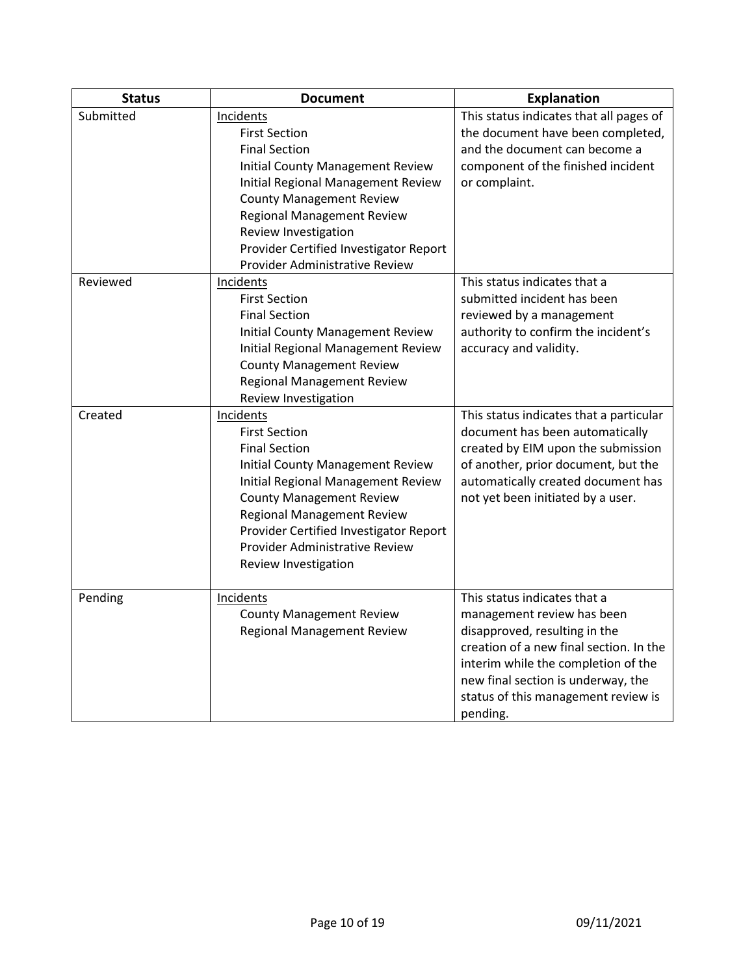| <b>Status</b> | <b>Document</b>                                                                                                                                                                                                                                                                                                        | <b>Explanation</b>                                                                                                                                                                                                                                                     |
|---------------|------------------------------------------------------------------------------------------------------------------------------------------------------------------------------------------------------------------------------------------------------------------------------------------------------------------------|------------------------------------------------------------------------------------------------------------------------------------------------------------------------------------------------------------------------------------------------------------------------|
| Submitted     | Incidents<br><b>First Section</b><br><b>Final Section</b><br><b>Initial County Management Review</b><br>Initial Regional Management Review<br><b>County Management Review</b><br><b>Regional Management Review</b><br>Review Investigation<br>Provider Certified Investigator Report<br>Provider Administrative Review | This status indicates that all pages of<br>the document have been completed,<br>and the document can become a<br>component of the finished incident<br>or complaint.                                                                                                   |
| Reviewed      | Incidents<br><b>First Section</b><br><b>Final Section</b><br>Initial County Management Review<br>Initial Regional Management Review<br><b>County Management Review</b><br><b>Regional Management Review</b><br>Review Investigation                                                                                    | This status indicates that a<br>submitted incident has been<br>reviewed by a management<br>authority to confirm the incident's<br>accuracy and validity.                                                                                                               |
| Created       | Incidents<br><b>First Section</b><br><b>Final Section</b><br>Initial County Management Review<br>Initial Regional Management Review<br><b>County Management Review</b><br><b>Regional Management Review</b><br>Provider Certified Investigator Report<br>Provider Administrative Review<br>Review Investigation        | This status indicates that a particular<br>document has been automatically<br>created by EIM upon the submission<br>of another, prior document, but the<br>automatically created document has<br>not yet been initiated by a user.                                     |
| Pending       | Incidents<br><b>County Management Review</b><br><b>Regional Management Review</b>                                                                                                                                                                                                                                      | This status indicates that a<br>management review has been<br>disapproved, resulting in the<br>creation of a new final section. In the<br>interim while the completion of the<br>new final section is underway, the<br>status of this management review is<br>pending. |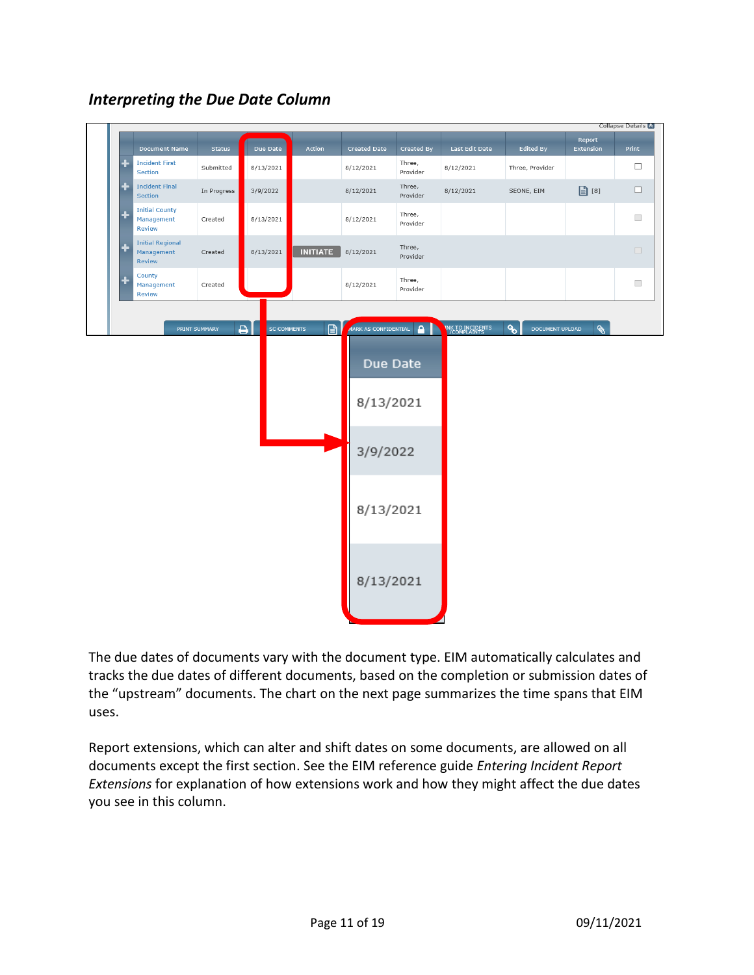

#### <span id="page-10-0"></span>*Interpreting the Due Date Column*

The due dates of documents vary with the document type. EIM automatically calculates and tracks the due dates of different documents, based on the completion or submission dates of the "upstream" documents. The chart on the next page summarizes the time spans that EIM uses.

Report extensions, which can alter and shift dates on some documents, are allowed on all documents except the first section. See the EIM reference guide *Entering Incident Report Extensions* for explanation of how extensions work and how they might affect the due dates you see in this column.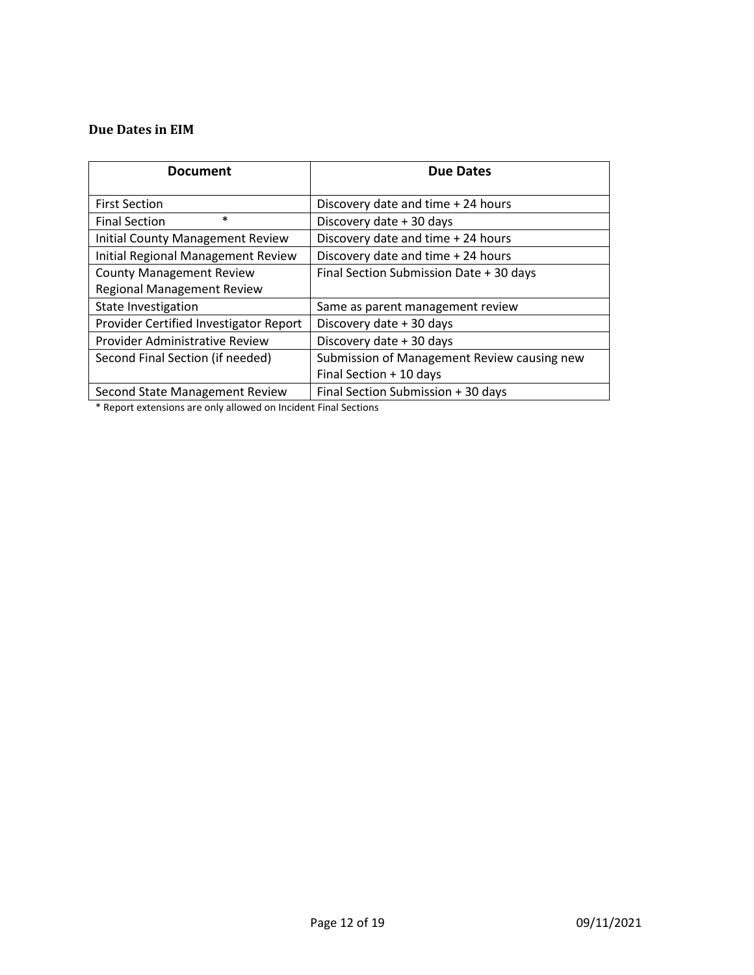#### **Due Dates in EIM**

| <b>Document</b>                         | <b>Due Dates</b>                            |
|-----------------------------------------|---------------------------------------------|
| <b>First Section</b>                    | Discovery date and time + 24 hours          |
| $\ast$<br><b>Final Section</b>          | Discovery date + 30 days                    |
| <b>Initial County Management Review</b> | Discovery date and time + 24 hours          |
| Initial Regional Management Review      | Discovery date and time + 24 hours          |
| <b>County Management Review</b>         | Final Section Submission Date + 30 days     |
| <b>Regional Management Review</b>       |                                             |
| State Investigation                     | Same as parent management review            |
| Provider Certified Investigator Report  | Discovery date + 30 days                    |
| Provider Administrative Review          | Discovery date + 30 days                    |
| Second Final Section (if needed)        | Submission of Management Review causing new |
|                                         | Final Section + 10 days                     |
| Second State Management Review          | Final Section Submission + 30 days          |

\* Report extensions are only allowed on Incident Final Sections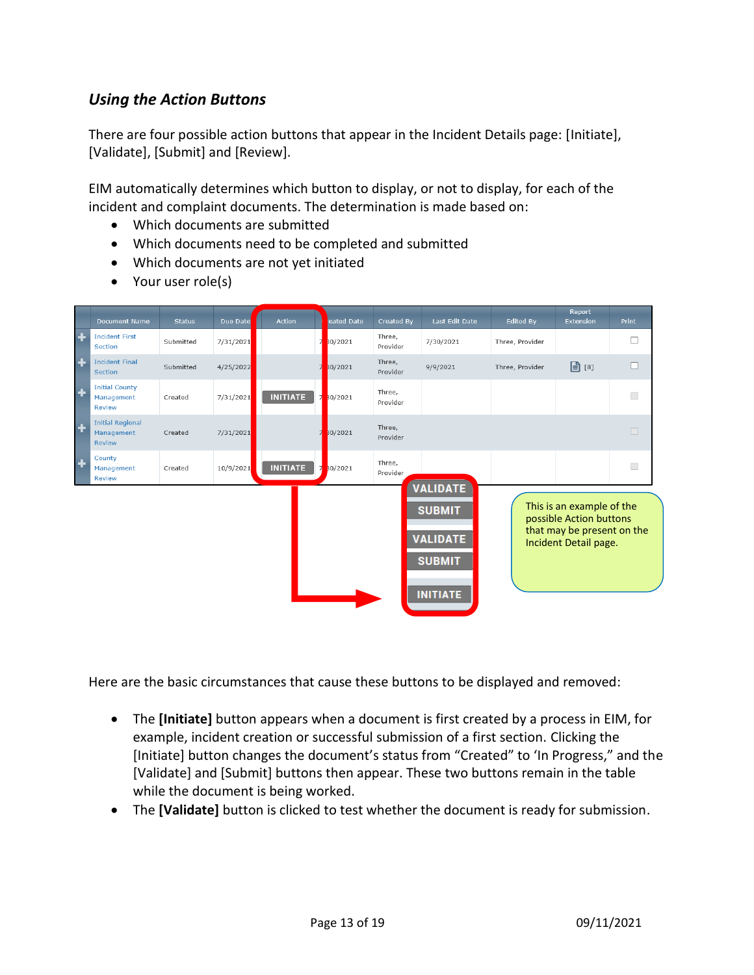#### <span id="page-12-0"></span>*Using the Action Buttons*

There are four possible action buttons that appear in the Incident Details page: [Initiate], [Validate], [Submit] and [Review].

EIM automatically determines which button to display, or not to display, for each of the incident and complaint documents. The determination is made based on:

- Which documents are submitted
- Which documents need to be completed and submitted
- Which documents are not yet initiated
- Your user role(s)

|                      | <b>Document Name</b>                                   | <b>Status</b> | Due Date  | <b>Action</b>   | eated Date                | Created By         | Last Edit Date                                                                          | Edited By       | <b>Report</b><br>Extension                                                                                  | Print                    |
|----------------------|--------------------------------------------------------|---------------|-----------|-----------------|---------------------------|--------------------|-----------------------------------------------------------------------------------------|-----------------|-------------------------------------------------------------------------------------------------------------|--------------------------|
| $\ddot{\phantom{1}}$ | <b>Incident First</b><br>Section                       | Submitted     | 7/31/2021 |                 | 30/2021<br>7              | Three,<br>Provider | 7/30/2021                                                                               | Three, Provider |                                                                                                             | $\Box$                   |
| $\ddot{\textbf{r}}$  | <b>Incident Final</b><br><b>Section</b>                | Submitted     | 4/25/2022 |                 | 30/2021                   | Three,<br>Provider | 9/9/2021                                                                                | Three, Provider | $\boxed{2}$ [8]                                                                                             | $\Box$                   |
| $\ddot{\textbf{r}}$  | <b>Initial County</b><br>Management<br><b>Review</b>   | Created       | 7/31/2021 | <b>INITIATE</b> | $\overline{7}$<br>30/2021 | Three,<br>Provider |                                                                                         |                 |                                                                                                             | $\Box$                   |
| $\ddot{\textbf{r}}$  | <b>Initial Regional</b><br>Management<br><b>Review</b> | Created       | 7/31/2021 |                 | 30/2021                   | Three,<br>Provider |                                                                                         |                 |                                                                                                             | $\Box$                   |
| $\ddot{}$            | County<br>Management<br><b>Review</b>                  | Created       | 10/9/2021 | <b>INITIATE</b> | 30/2021<br>$\overline{z}$ | Three,<br>Provider |                                                                                         |                 |                                                                                                             | $\overline{\phantom{a}}$ |
|                      |                                                        |               |           |                 |                           |                    | <b>VALIDATE</b><br><b>SUBMIT</b><br><b>VALIDATE</b><br><b>SUBMIT</b><br><b>INITIATE</b> |                 | This is an example of the<br>possible Action buttons<br>that may be present on the<br>Incident Detail page. |                          |

Here are the basic circumstances that cause these buttons to be displayed and removed:

- The **[Initiate]** button appears when a document is first created by a process in EIM, for example, incident creation or successful submission of a first section. Clicking the [Initiate] button changes the document's status from "Created" to 'In Progress," and the [Validate] and [Submit] buttons then appear. These two buttons remain in the table while the document is being worked.
- The **[Validate]** button is clicked to test whether the document is ready for submission.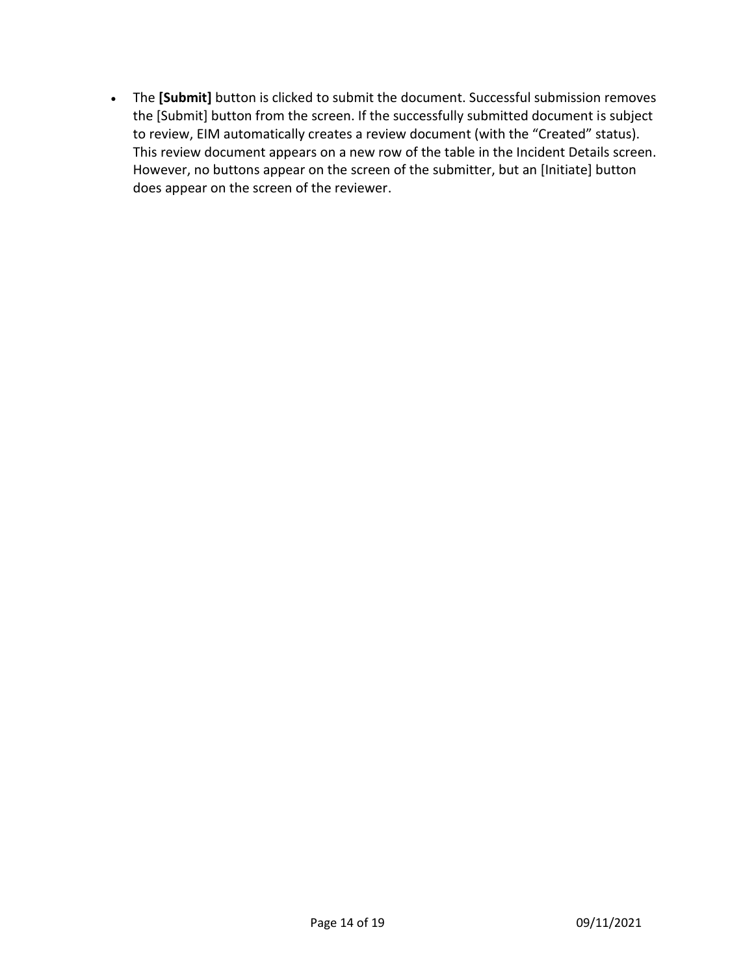• The **[Submit]** button is clicked to submit the document. Successful submission removes the [Submit] button from the screen. If the successfully submitted document is subject to review, EIM automatically creates a review document (with the "Created" status). This review document appears on a new row of the table in the Incident Details screen. However, no buttons appear on the screen of the submitter, but an [Initiate] button does appear on the screen of the reviewer.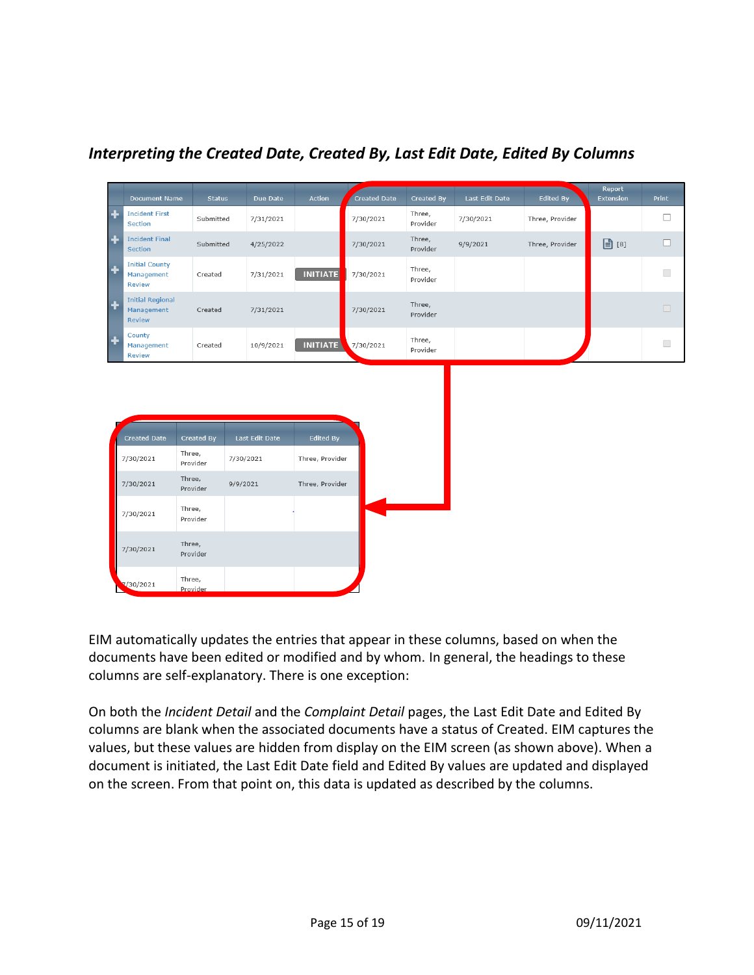|   | <b>Document Name</b>                                 | <b>Status</b>      | Due Date       | Action           | Created Date | Created By         | Last Edit Date | <b>Edited By</b> | Report<br><b>Extension</b> | Print                    |
|---|------------------------------------------------------|--------------------|----------------|------------------|--------------|--------------------|----------------|------------------|----------------------------|--------------------------|
|   | <b>Incident First</b><br>Section                     | Submitted          | 7/31/2021      |                  | 7/30/2021    | Three,<br>Provider | 7/30/2021      | Three, Provider  |                            | $\Box$                   |
| ٠ | <b>Incident Final</b><br>Section                     | Submitted          | 4/25/2022      |                  | 7/30/2021    | Three,<br>Provider | 9/9/2021       | Three, Provider  | $\boxed{3}$ [8]            | $\Box$                   |
| ٠ | <b>Initial County</b><br>Management<br><b>Review</b> | Created            | 7/31/2021      | <b>INITIATE</b>  | 7/30/2021    | Three,<br>Provider |                |                  |                            | $\overline{\phantom{a}}$ |
| ٠ | <b>Initial Regional</b><br>Management<br>Review      | Created            | 7/31/2021      |                  | 7/30/2021    | Three,<br>Provider |                |                  |                            | $\Box$                   |
| ٠ | County<br>Management<br><b>Review</b>                | Created            | 10/9/2021      | <b>INITIATE</b>  | 7/30/2021    | Three,<br>Provider |                |                  |                            | $\Box$                   |
|   | Created Date                                         | Created By         | Last Edit Date | <b>Edited By</b> |              |                    |                |                  |                            |                          |
|   |                                                      |                    |                |                  |              |                    |                |                  |                            |                          |
|   | 7/30/2021                                            | Three,<br>Provider | 7/30/2021      | Three, Provider  |              |                    |                |                  |                            |                          |
|   | 7/30/2021                                            | Three,<br>Provider | 9/9/2021       | Three, Provider  |              |                    |                |                  |                            |                          |
|   | 7/30/2021                                            | Three,<br>Provider |                |                  |              |                    |                |                  |                            |                          |
|   | 7/30/2021                                            | Three,<br>Provider |                |                  |              |                    |                |                  |                            |                          |
|   |                                                      |                    |                |                  |              |                    |                |                  |                            |                          |

#### <span id="page-14-0"></span>*Interpreting the Created Date, Created By, Last Edit Date, Edited By Columns*

EIM automatically updates the entries that appear in these columns, based on when the documents have been edited or modified and by whom. In general, the headings to these columns are self-explanatory. There is one exception:

On both the *Incident Detail* and the *Complaint Detail* pages, the Last Edit Date and Edited By columns are blank when the associated documents have a status of Created. EIM captures the values, but these values are hidden from display on the EIM screen (as shown above). When a document is initiated, the Last Edit Date field and Edited By values are updated and displayed on the screen. From that point on, this data is updated as described by the columns.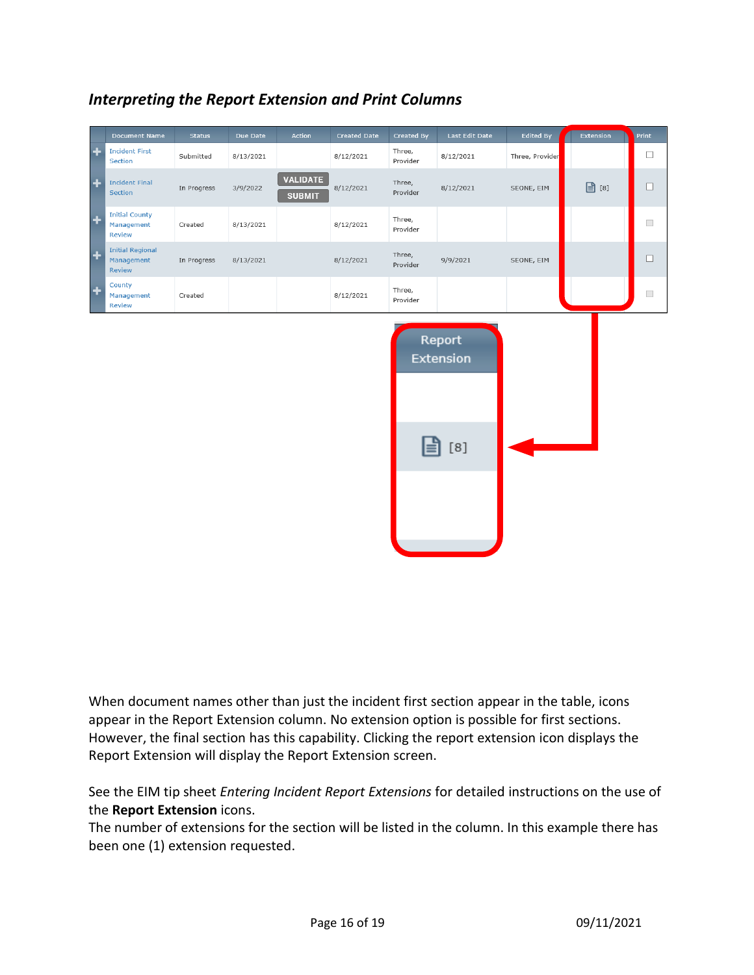|                     | <b>Document Name</b>                                 | <b>Status</b> | Due Date  | <b>Action</b>                    | <b>Created Date</b> | Created By         | Last Edit Date      | Edited By       | Extension       | <b>Print</b>             |
|---------------------|------------------------------------------------------|---------------|-----------|----------------------------------|---------------------|--------------------|---------------------|-----------------|-----------------|--------------------------|
| ÷                   | <b>Incident First</b><br>Section                     | Submitted     | 8/13/2021 |                                  | 8/12/2021           | Three,<br>Provider | 8/12/2021           | Three, Provider |                 | $\Box$                   |
| $\ddot{\textbf{r}}$ | <b>Incident Final</b><br><b>Section</b>              | In Progress   | 3/9/2022  | <b>VALIDATE</b><br><b>SUBMIT</b> | 8/12/2021           | Three,<br>Provider | 8/12/2021           | SEONE, EIM      | $\boxed{2}$ [8] | □                        |
| $\ddot{}$           | <b>Initial County</b><br>Management<br><b>Review</b> | Created       | 8/13/2021 |                                  | 8/12/2021           | Three,<br>Provider |                     |                 |                 | $\overline{\phantom{a}}$ |
| l +                 | <b>Initial Regional</b><br>Management<br>Review      | In Progress   | 8/13/2021 |                                  | 8/12/2021           | Three,<br>Provider | 9/9/2021            | SEONE, EIM      |                 | □                        |
| $\ddot{}$           | County<br>Management<br><b>Review</b>                | Created       |           |                                  | 8/12/2021           | Three,<br>Provider |                     |                 |                 | $\overline{\phantom{a}}$ |
|                     |                                                      |               |           |                                  |                     |                    | Report<br>Extension |                 |                 |                          |
|                     |                                                      |               |           |                                  |                     |                    | $\lceil 8 \rceil$   |                 |                 |                          |

### <span id="page-15-0"></span>*Interpreting the Report Extension and Print Columns*

When document names other than just the incident first section appear in the table, icons appear in the Report Extension column. No extension option is possible for first sections. However, the final section has this capability. Clicking the report extension icon displays the Report Extension will display the Report Extension screen.

See the EIM tip sheet *Entering Incident Report Extensions* for detailed instructions on the use of the **Report Extension** icons.

The number of extensions for the section will be listed in the column. In this example there has been one (1) extension requested.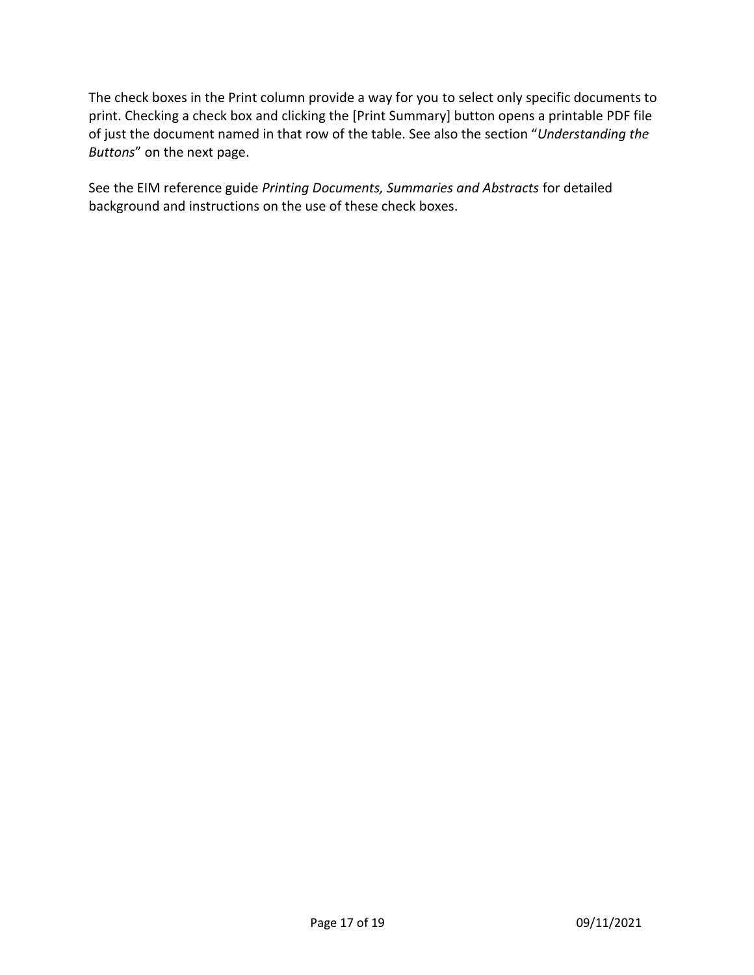The check boxes in the Print column provide a way for you to select only specific documents to print. Checking a check box and clicking the [Print Summary] button opens a printable PDF file of just the document named in that row of the table. See also the section "*[Understanding the](#page-17-0)  [Buttons](#page-17-0)*" on the next page.

See the EIM reference guide *Printing Documents, Summaries and Abstracts* for detailed background and instructions on the use of these check boxes.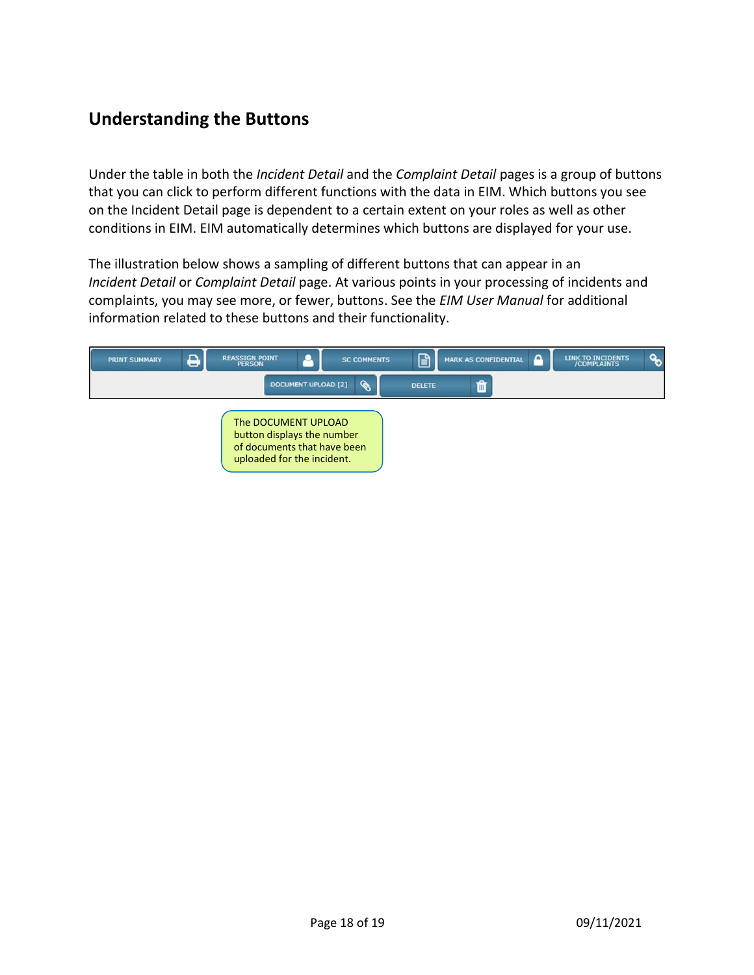# <span id="page-17-0"></span>**Understanding the Buttons**

Under the table in both the *Incident Detail* and the *Complaint Detail* pages is a group of buttons that you can click to perform different functions with the data in EIM. Which buttons you see on the Incident Detail page is dependent to a certain extent on your roles as well as other conditions in EIM. EIM automatically determines which buttons are displayed for your use.

The illustration below shows a sampling of different buttons that can appear in an *Incident Detail* or *Complaint Detail* page. At various points in your processing of incidents and complaints, you may see more, or fewer, buttons. See the *EIM User Manual* for additional information related to these buttons and their functionality.